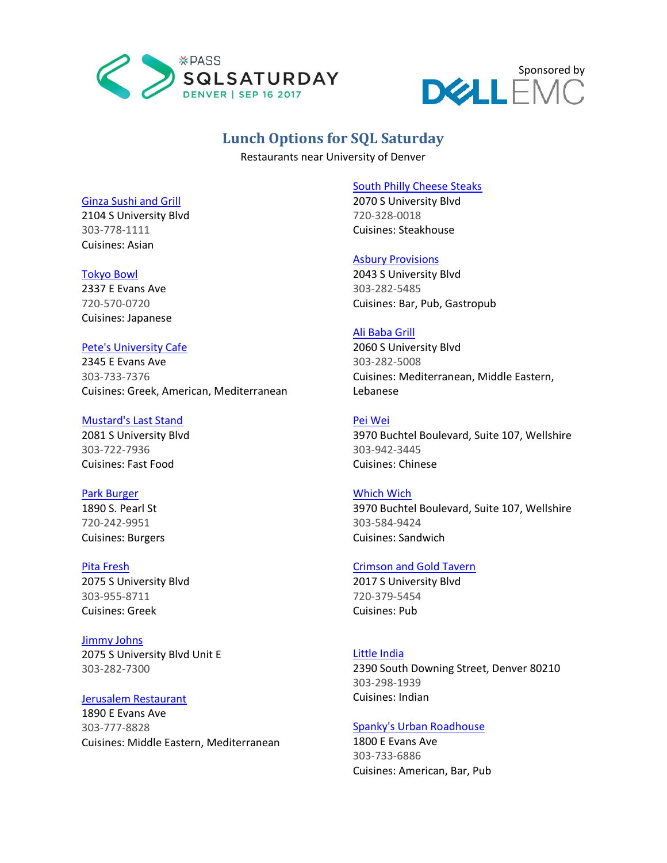



# **Lunch Options for SQL Saturday**

Restaurants near University of Denver

#### [Ginza Sushi and Grill](http://www.ginzadenver.com/)

2104 S University Blvd 303-778-1111 Cuisines: Asian

#### [Tokyo Bowl](https://www.tokyobowldenver.com/)

2337 E Evans Ave 720-570-0720 Cuisines: Japanese

# [Pete's University Cafe](http://www.petesrestaurantstoo.com/PetesUniversityParkCafe.html)

2345 E Evans Ave 303-733-7376 Cuisines: Greek, American, Mediterranean

#### [Mustard's Last Stand](http://mustardslaststandcolorado.com/)

2081 S University Blvd 303-722-7936 Cuisines: Fast Food

## [Park Burger](http://www.parkburger.com/)

1890 S. Pearl St 720-242-9951 Cuisines: Burgers

#### [Pita Fresh](http://www.pitafreshdenver.com/)

2075 S University Blvd 303-955-8711 Cuisines: Greek

## [Jimmy Johns](https://www.jimmyjohns.com/)

2075 S University Blvd Unit E 303-282-7300

## [Jerusalem Restaurant](http://www.jerusalemrestaurant.com/)

1890 E Evans Ave 303-777-8828 Cuisines: Middle Eastern, Mediterranean

#### [South Philly Cheese Steaks](https://www.yojeet.com/)

2070 S University Blvd 720-328-0018 Cuisines: Steakhouse

## [Asbury Provisions](http://www.asburyprovisions.com/)

2043 S University Blvd 303-282-5485 Cuisines: Bar, Pub, Gastropub

## [Ali Baba Grill](http://www.alibabagrill.com/)

2060 S University Blvd 303-282-5008 Cuisines: Mediterranean, Middle Eastern, Lebanese

## [Pei Wei](https://www.peiwei.com/colorado/206-denver-university-park)

3970 Buchtel Boulevard, Suite 107, Wellshire 303-942-3445 Cuisines: Chinese

#### [Which Wich](https://www.whichwich.com/)

3970 Buchtel Boulevard, Suite 107, Wellshire 303-584-9424 Cuisines: Sandwich

## [Crimson and Gold Tavern](http://www.candgdenver.com/)

2017 S University Blvd 720-379-5454 Cuisines: Pub

## [Little India](https://www.littleindiaofdenver.com/locations/2390-south-downing-street/)

2390 South Downing Street, Denver 80210 303-298-1939 Cuisines: Indian

#### [Spanky's Urban Roadhouse](http://www.spankysur.com/)

1800 E Evans Ave 303-733-6886 Cuisines: American, Bar, Pub